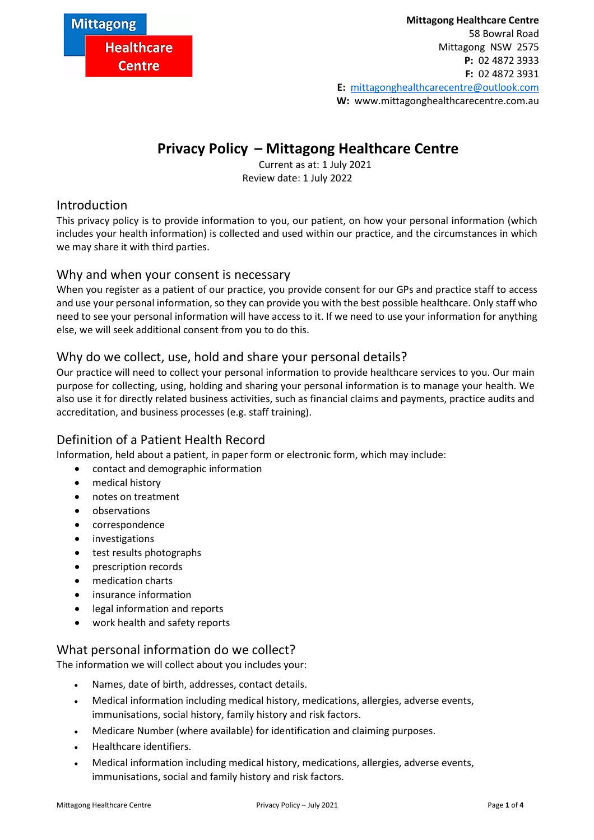

# **Privacy Policy – Mittagong Healthcare Centre**

Current as at: 1 July 2021 Review date: 1 July 2022

## Introduction

This privacy policy is to provide information to you, our patient, on how your personal information (which includes your health information) is collected and used within our practice, and the circumstances in which we may share it with third parties.

## Why and when your consent is necessary

When you register as a patient of our practice, you provide consent for our GPs and practice staff to access and use your personal information, so they can provide you with the best possible healthcare. Only staff who need to see your personal information will have access to it. If we need to use your information for anything else, we will seek additional consent from you to do this.

# Why do we collect, use, hold and share your personal details?

Our practice will need to collect your personal information to provide healthcare services to you. Our main purpose for collecting, using, holding and sharing your personal information is to manage your health. We also use it for directly related business activities, such as financial claims and payments, practice audits and accreditation, and business processes (e.g. staff training).

# Definition of a Patient Health Record

Information, held about a patient, in paper form or electronic form, which may include:

- contact and demographic information
	- medical history
	- notes on treatment
- observations
- correspondence
- investigations
- test results photographs
- prescription records
- medication charts
- insurance information
- legal information and reports
- work health and safety reports

# What personal information do we collect?

The information we will collect about you includes your:

- Names, date of birth, addresses, contact details.
- Medical information including medical history, medications, allergies, adverse events, immunisations, social history, family history and risk factors.
- Medicare Number (where available) for identification and claiming purposes.
- Healthcare identifiers.
- Medical information including medical history, medications, allergies, adverse events, immunisations, social and family history and risk factors.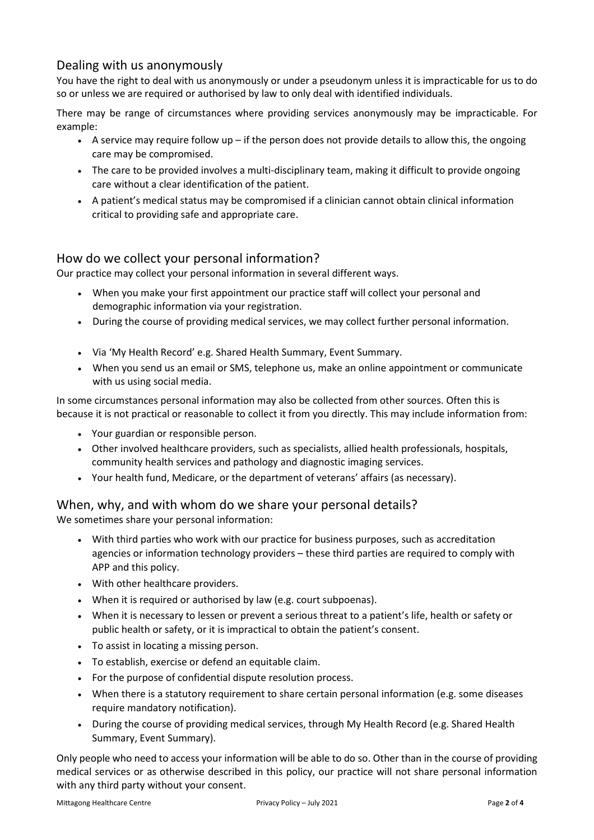# Dealing with us anonymously

You have the right to deal with us anonymously or under a pseudonym unless it is impracticable for us to do so or unless we are required or authorised by law to only deal with identified individuals.

There may be range of circumstances where providing services anonymously may be impracticable. For example:

- $\bullet$  A service may require follow up if the person does not provide details to allow this, the ongoing care may be compromised.
- The care to be provided involves a multi-disciplinary team, making it difficult to provide ongoing care without a clear identification of the patient.
- A patient's medical status may be compromised if a clinician cannot obtain clinical information critical to providing safe and appropriate care.

## How do we collect your personal information?

Our practice may collect your personal information in several different ways.

- When you make your first appointment our practice staff will collect your personal and demographic information via your registration.
- During the course of providing medical services, we may collect further personal information.
- Via 'My Health Record' e.g. Shared Health Summary, Event Summary.
- When you send us an email or SMS, telephone us, make an online appointment or communicate with us using social media.

In some circumstances personal information may also be collected from other sources. Often this is because it is not practical or reasonable to collect it from you directly. This may include information from:

- Your guardian or responsible person.
- Other involved healthcare providers, such as specialists, allied health professionals, hospitals, community health services and pathology and diagnostic imaging services.
- Your health fund, Medicare, or the department of veterans' affairs (as necessary).

#### When, why, and with whom do we share your personal details?

We sometimes share your personal information:

- With third parties who work with our practice for business purposes, such as accreditation agencies or information technology providers – these third parties are required to comply with APP and this policy.
- With other healthcare providers.
- When it is required or authorised by law (e.g. court subpoenas).
- When it is necessary to lessen or prevent a serious threat to a patient's life, health or safety or public health or safety, or it is impractical to obtain the patient's consent.
- To assist in locating a missing person.
- To establish, exercise or defend an equitable claim.
- For the purpose of confidential dispute resolution process.
- When there is a statutory requirement to share certain personal information (e.g. some diseases require mandatory notification).
- During the course of providing medical services, through My Health Record (e.g. Shared Health Summary, Event Summary).

Only people who need to access your information will be able to do so. Other than in the course of providing medical services or as otherwise described in this policy, our practice will not share personal information with any third party without your consent.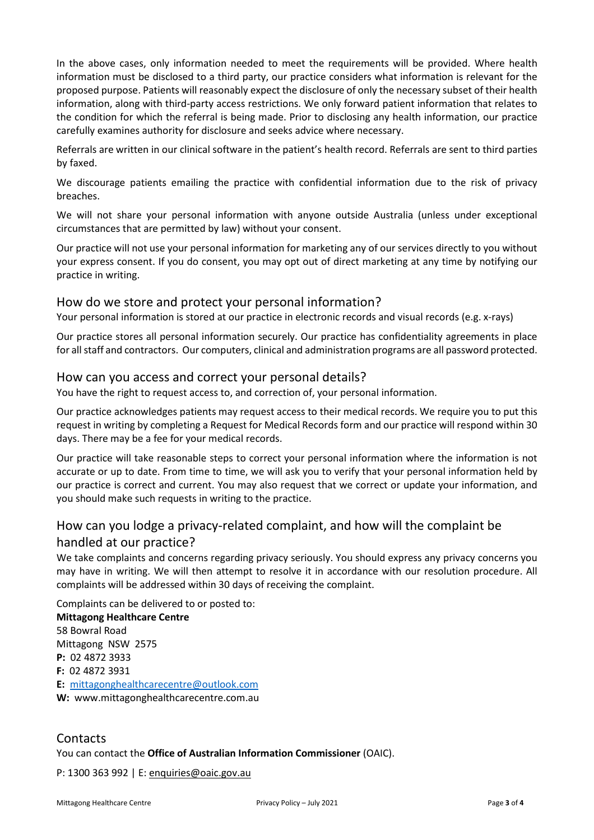In the above cases, only information needed to meet the requirements will be provided. Where health information must be disclosed to a third party, our practice considers what information is relevant for the proposed purpose. Patients will reasonably expect the disclosure of only the necessary subset of their health information, along with third-party access restrictions. We only forward patient information that relates to the condition for which the referral is being made. Prior to disclosing any health information, our practice carefully examines authority for disclosure and seeks advice where necessary.

Referrals are written in our clinical software in the patient's health record. Referrals are sent to third parties by faxed.

We discourage patients emailing the practice with confidential information due to the risk of privacy breaches.

We will not share your personal information with anyone outside Australia (unless under exceptional circumstances that are permitted by law) without your consent.

Our practice will not use your personal information for marketing any of our services directly to you without your express consent. If you do consent, you may opt out of direct marketing at any time by notifying our practice in writing.

#### How do we store and protect your personal information?

Your personal information is stored at our practice in electronic records and visual records (e.g. x-rays)

Our practice stores all personal information securely. Our practice has confidentiality agreements in place for all staff and contractors. Our computers, clinical and administration programs are all password protected.

#### How can you access and correct your personal details?

You have the right to request access to, and correction of, your personal information.

Our practice acknowledges patients may request access to their medical records. We require you to put this request in writing by completing a Request for Medical Records form and our practice will respond within 30 days. There may be a fee for your medical records.

Our practice will take reasonable steps to correct your personal information where the information is not accurate or up to date. From time to time, we will ask you to verify that your personal information held by our practice is correct and current. You may also request that we correct or update your information, and you should make such requests in writing to the practice.

# How can you lodge a privacy-related complaint, and how will the complaint be handled at our practice?

We take complaints and concerns regarding privacy seriously. You should express any privacy concerns you may have in writing. We will then attempt to resolve it in accordance with our resolution procedure. All complaints will be addressed within 30 days of receiving the complaint.

Complaints can be delivered to or posted to:

**Mittagong Healthcare Centre** 58 Bowral Road Mittagong NSW 2575 **P:** 02 4872 3933 **F:** 02 4872 3931 **E:** [mittagonghealthcarecentre@outlook.com](mailto:mittagonghealthcarecentre@outlook.com) **W:** www.mittagonghealthcarecentre.com.au

#### **Contacts**

You can contact the **Office of Australian Information Commissioner** (OAIC).

P: 1300 363 992 | E: [enquiries@oaic.gov.au](mailto:enquiries@oaic.gov.au)